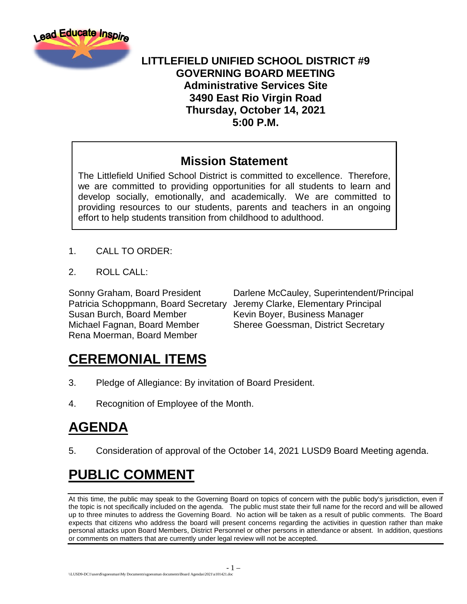

### **LITTLEFIELD UNIFIED SCHOOL DISTRICT #9 GOVERNING BOARD MEETING Administrative Services Site 3490 East Rio Virgin Road Thursday, October 14, 2021 5:00 P.M.**

### **Mission Statement**

The Littlefield Unified School District is committed to excellence. Therefore, we are committed to providing opportunities for all students to learn and develop socially, emotionally, and academically. We are committed to providing resources to our students, parents and teachers in an ongoing effort to help students transition from childhood to adulthood.

- 1. CALL TO ORDER:
- 2. ROLL CALL:

Patricia Schoppmann, Board Secretary Jeremy Clarke, Elementary Principal Susan Burch, Board Member Kevin Boyer, Business Manager Michael Fagnan, Board Member Sheree Goessman, District Secretary Rena Moerman, Board Member

Sonny Graham, Board President Darlene McCauley, Superintendent/Principal

## **CEREMONIAL ITEMS**

- 3. Pledge of Allegiance: By invitation of Board President.
- 4. Recognition of Employee of the Month.

# **AGENDA**

5. Consideration of approval of the October 14, 2021 LUSD9 Board Meeting agenda.

# **PUBLIC COMMENT**

At this time, the public may speak to the Governing Board on topics of concern with the public body's jurisdiction, even if the topic is not specifically included on the agenda. The public must state their full name for the record and will be allowed up to three minutes to address the Governing Board. No action will be taken as a result of public comments. The Board expects that citizens who address the board will present concerns regarding the activities in question rather than make personal attacks upon Board Members, District Personnel or other persons in attendance or absent. In addition, questions or comments on matters that are currently under legal review will not be accepted.

- 1 –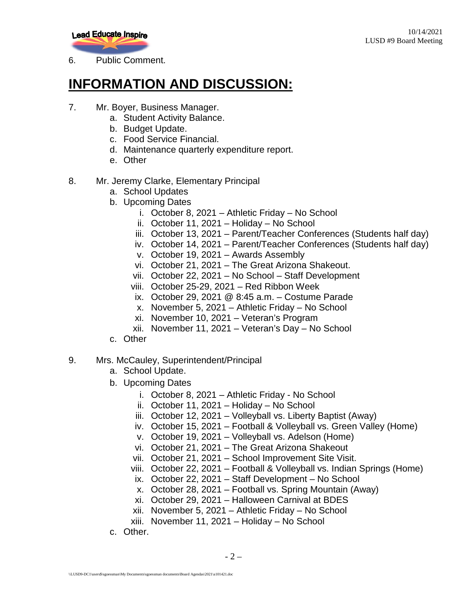

6. Public Comment.

### **INFORMATION AND DISCUSSION:**

- 7. Mr. Boyer, Business Manager.
	- a. Student Activity Balance.
	- b. Budget Update.
	- c. Food Service Financial.
	- d. Maintenance quarterly expenditure report.
	- e. Other
- 8. Mr. Jeremy Clarke, Elementary Principal
	- a. School Updates
	- b. Upcoming Dates
		- i. October 8, 2021 Athletic Friday No School
		- ii. October 11, 2021 Holiday No School
		- iii. October 13, 2021 Parent/Teacher Conferences (Students half day)
		- iv. October 14, 2021 Parent/Teacher Conferences (Students half day)
		- v. October 19, 2021 Awards Assembly
		- vi. October 21, 2021 The Great Arizona Shakeout.
		- vii. October 22, 2021 No School Staff Development
		- viii. October 25-29, 2021 Red Ribbon Week
		- ix. October 29, 2021 @ 8:45 a.m. Costume Parade
		- x. November 5, 2021 Athletic Friday No School
		- xi. November 10, 2021 Veteran's Program
		- xii. November 11, 2021 Veteran's Day No School
	- c. Other

#### 9. Mrs. McCauley, Superintendent/Principal

- a. School Update.
- b. Upcoming Dates
	- i. October 8, 2021 Athletic Friday No School
	- ii. October 11, 2021 Holiday No School
	- iii. October 12, 2021 Volleyball vs. Liberty Baptist (Away)
	- iv. October 15, 2021 Football & Volleyball vs. Green Valley (Home)
	- v. October 19, 2021 Volleyball vs. Adelson (Home)
	- vi. October 21, 2021 The Great Arizona Shakeout
	- vii. October 21, 2021 School Improvement Site Visit.
	- viii. October 22, 2021 Football & Volleyball vs. Indian Springs (Home)
		- ix. October 22, 2021 Staff Development No School
		- x. October 28, 2021 Football vs. Spring Mountain (Away)
		- xi. October 29, 2021 Halloween Carnival at BDES
	- xii. November 5, 2021 Athletic Friday No School
	- xiii. November 11, 2021 Holiday No School
- c. Other.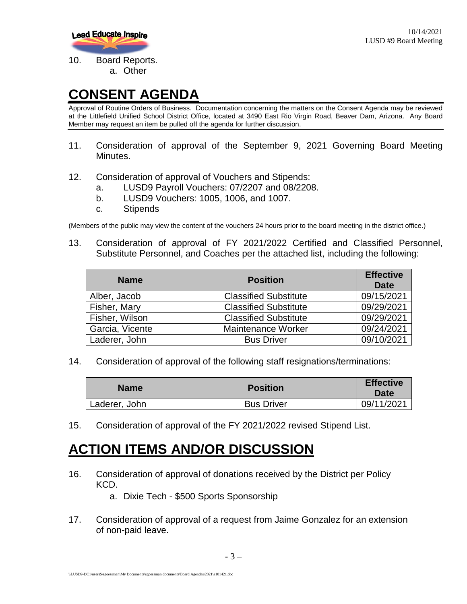

### **CONSENT AGENDA**

Approval of Routine Orders of Business. Documentation concerning the matters on the Consent Agenda may be reviewed at the Littlefield Unified School District Office, located at 3490 East Rio Virgin Road, Beaver Dam, Arizona. Any Board Member may request an item be pulled off the agenda for further discussion.

- 11. Consideration of approval of the September 9, 2021 Governing Board Meeting Minutes.
- 12. Consideration of approval of Vouchers and Stipends:
	- a. LUSD9 Payroll Vouchers: 07/2207 and 08/2208.
	- b. LUSD9 Vouchers: 1005, 1006, and 1007.
	- c. Stipends

(Members of the public may view the content of the vouchers 24 hours prior to the board meeting in the district office.)

13. Consideration of approval of FY 2021/2022 Certified and Classified Personnel, Substitute Personnel, and Coaches per the attached list, including the following:

| <b>Name</b>     | <b>Position</b>              | <b>Effective</b><br>Date |
|-----------------|------------------------------|--------------------------|
| Alber, Jacob    | <b>Classified Substitute</b> | 09/15/2021               |
| Fisher, Mary    | <b>Classified Substitute</b> | 09/29/2021               |
| Fisher, Wilson  | <b>Classified Substitute</b> | 09/29/2021               |
| Garcia, Vicente | <b>Maintenance Worker</b>    | 09/24/2021               |
| Laderer, John   | <b>Bus Driver</b>            | 09/10/2021               |

14. Consideration of approval of the following staff resignations/terminations:

| <b>Name</b>   | <b>Position</b>   | <b>Effective</b><br><b>Date</b> |
|---------------|-------------------|---------------------------------|
| Laderer, John | <b>Bus Driver</b> | 09/11/2021                      |

15. Consideration of approval of the FY 2021/2022 revised Stipend List.

### **ACTION ITEMS AND/OR DISCUSSION**

- 16. Consideration of approval of donations received by the District per Policy KCD.
	- a. Dixie Tech \$500 Sports Sponsorship
- 17. Consideration of approval of a request from Jaime Gonzalez for an extension of non-paid leave.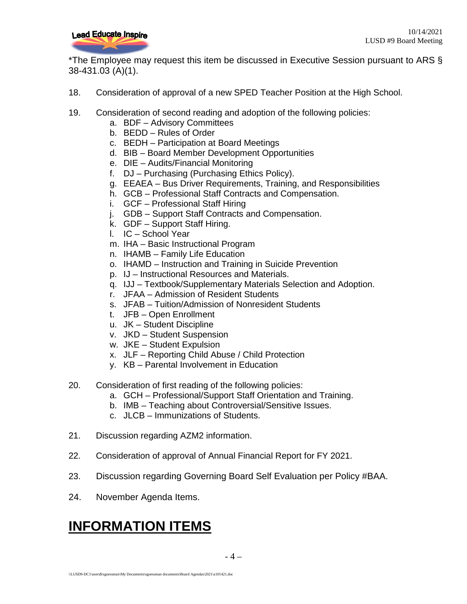

\*The Employee may request this item be discussed in Executive Session pursuant to ARS § 38-431.03 (A)(1).

- 18. Consideration of approval of a new SPED Teacher Position at the High School.
- 19. Consideration of second reading and adoption of the following policies:
	- a. BDF Advisory Committees
	- b. BEDD Rules of Order
	- c. BEDH Participation at Board Meetings
	- d. BIB Board Member Development Opportunities
	- e. DIE Audits/Financial Monitoring
	- f. DJ Purchasing (Purchasing Ethics Policy).
	- g. EEAEA Bus Driver Requirements, Training, and Responsibilities
	- h. GCB Professional Staff Contracts and Compensation.
	- i. GCF Professional Staff Hiring
	- j. GDB Support Staff Contracts and Compensation.
	- k. GDF Support Staff Hiring.
	- l. IC School Year
	- m. IHA Basic Instructional Program
	- n. IHAMB Family Life Education
	- o. IHAMD Instruction and Training in Suicide Prevention
	- p. IJ Instructional Resources and Materials.
	- q. IJJ Textbook/Supplementary Materials Selection and Adoption.
	- r. JFAA Admission of Resident Students
	- s. JFAB Tuition/Admission of Nonresident Students
	- t. JFB Open Enrollment
	- u. JK Student Discipline
	- v. JKD Student Suspension
	- w. JKE Student Expulsion
	- x. JLF Reporting Child Abuse / Child Protection
	- y. KB Parental Involvement in Education
- 20. Consideration of first reading of the following policies:
	- a. GCH Professional/Support Staff Orientation and Training.
	- b. IMB Teaching about Controversial/Sensitive Issues.
	- c. JLCB Immunizations of Students.
- 21. Discussion regarding AZM2 information.
- 22. Consideration of approval of Annual Financial Report for FY 2021.
- 23. Discussion regarding Governing Board Self Evaluation per Policy #BAA.
- 24. November Agenda Items.

### **INFORMATION ITEMS**